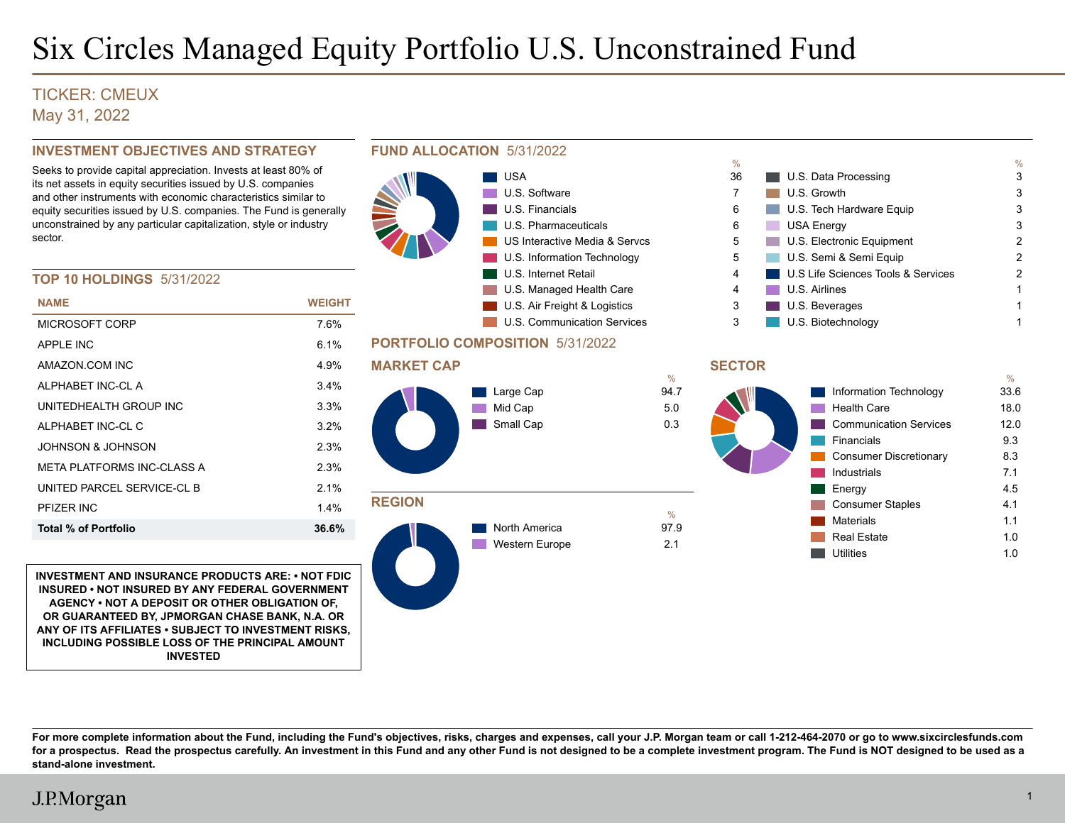# Six Circles Managed Equity Portfolio U.S. Unconstrained Fund

### TICKER: CMEUX May 31, 2022

#### **INVESTMENT OBJECTIVES AND STRATEGY**

Seeks to provide capital appreciation. Invests at least 80% of its net assets in equity securities issued by U.S. companies and other instruments with economic characteristics similar to equity securities issued by U.S. companies. The Fund is generally unconstrained by any particular capitalization, style or industry sector.

#### **TOP 10 HOLDINGS** 5/31/2022

| <b>NAME</b>                  | WEIGHT  |
|------------------------------|---------|
| MICROSOFT CORP               | 7 6%    |
| APPI F INC                   | 61%     |
| AMAZON COM INC               | 4.9%    |
| AI PHARFT INC-CLA            | $3.4\%$ |
| UNITEDHEAI TH GROUP INC      | 3.3%    |
| AI PHARET INC-CLC            | 32%     |
| JOHNSON & JOHNSON            | 2.3%    |
| META PI ATFORMS INC-CI ASS A | 2.3%    |
| UNITED PARCEL SERVICE-CLB    | 21%     |
| PFIZER INC                   | 14%     |
| <b>Total % of Portfolio</b>  | 36.6%   |
|                              |         |

**INVESTMENT AND INSURANCE PRODUCTS ARE: • NOT FDIC INSURED • NOT INSURED BY ANY FEDERAL GOVERNMENT AGENCY • NOT A DEPOSIT OR OTHER OBLIGATION OF, OR GUARANTEED BY, JPMORGAN CHASE BANK, N.A. OR ANY OF ITS AFFILIATES • SUBJECT TO INVESTMENT RISKS, INCLUDING POSSIBLE LOSS OF THE PRINCIPAL AMOUNT INVESTED**



**For more complete information about the Fund, including the Fund's objectives, risks, charges and expenses, call your J.P. Morgan team or call 1-212-464-2070 or go to www.sixcirclesfunds.com for a prospectus. Read the prospectus carefully. An investment in this Fund and any other Fund is not designed to be a complete investment program. The Fund is NOT designed to be used as a stand-alone investment.**

## J.P.Morgan